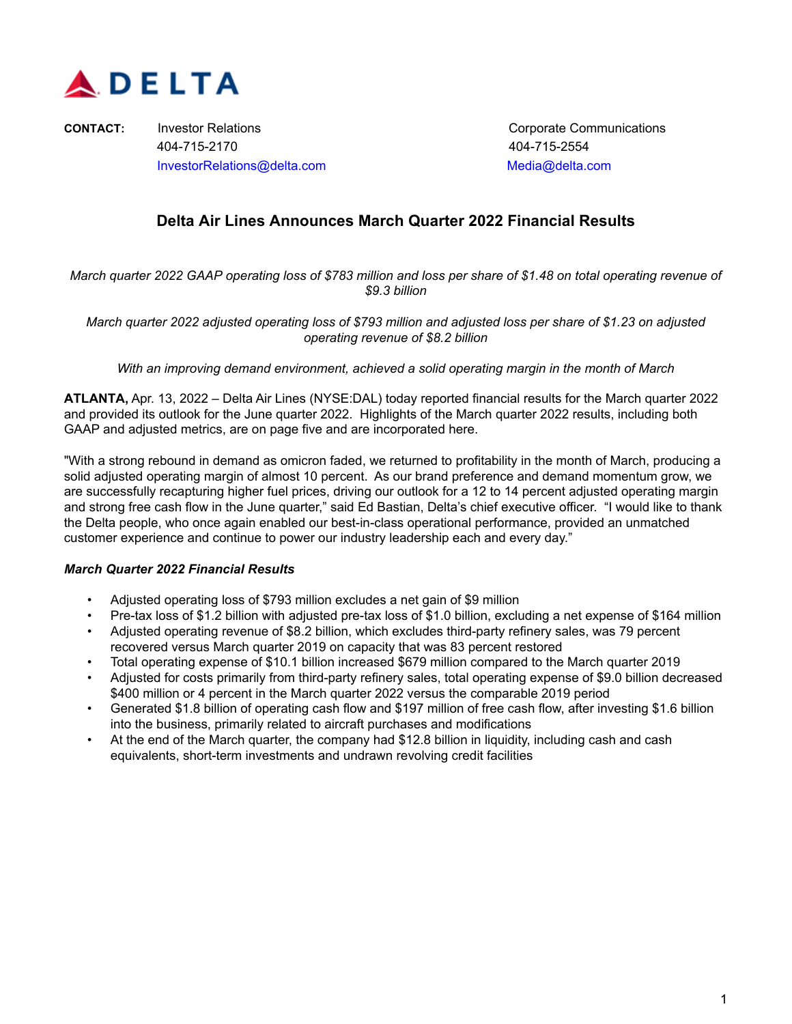

**CONTACT:** Investor Relations **CONTACT:** Investor Relations **CONTACT:** Corporate Communications 404-715-2170 404-715-2554 InvestorRelations@delta.com Media@delta.com

# **Delta Air Lines Announces March Quarter 2022 Financial Results**

*March quarter 2022 GAAP operating loss of \$783 million and loss per share of \$1.48 on total operating revenue of \$9.3 billion*

*March quarter 2022 adjusted operating loss of \$793 million and adjusted loss per share of \$1.23 on adjusted operating revenue of \$8.2 billion*

*With an improving demand environment, achieved a solid operating margin in the month of March*

**ATLANTA,** Apr. 13, 2022 – Delta Air Lines (NYSE:DAL) today reported financial results for the March quarter 2022 and provided its outlook for the June quarter 2022. Highlights of the March quarter 2022 results, including both GAAP and adjusted metrics, are on page five and are incorporated here.

"With a strong rebound in demand as omicron faded, we returned to profitability in the month of March, producing a solid adjusted operating margin of almost 10 percent. As our brand preference and demand momentum grow, we are successfully recapturing higher fuel prices, driving our outlook for a 12 to 14 percent adjusted operating margin and strong free cash flow in the June quarter," said Ed Bastian, Delta's chief executive officer. "I would like to thank the Delta people, who once again enabled our best-in-class operational performance, provided an unmatched customer experience and continue to power our industry leadership each and every day."

### *March Quarter 2022 Financial Results*

- Adjusted operating loss of \$793 million excludes a net gain of \$9 million
- Pre-tax loss of \$1.2 billion with adjusted pre-tax loss of \$1.0 billion, excluding a net expense of \$164 million
- Adjusted operating revenue of \$8.2 billion, which excludes third-party refinery sales, was 79 percent recovered versus March quarter 2019 on capacity that was 83 percent restored
- Total operating expense of \$10.1 billion increased \$679 million compared to the March quarter 2019
- Adjusted for costs primarily from third-party refinery sales, total operating expense of \$9.0 billion decreased \$400 million or 4 percent in the March quarter 2022 versus the comparable 2019 period
- Generated \$1.8 billion of operating cash flow and \$197 million of free cash flow, after investing \$1.6 billion into the business, primarily related to aircraft purchases and modifications
- At the end of the March quarter, the company had \$12.8 billion in liquidity, including cash and cash equivalents, short-term investments and undrawn revolving credit facilities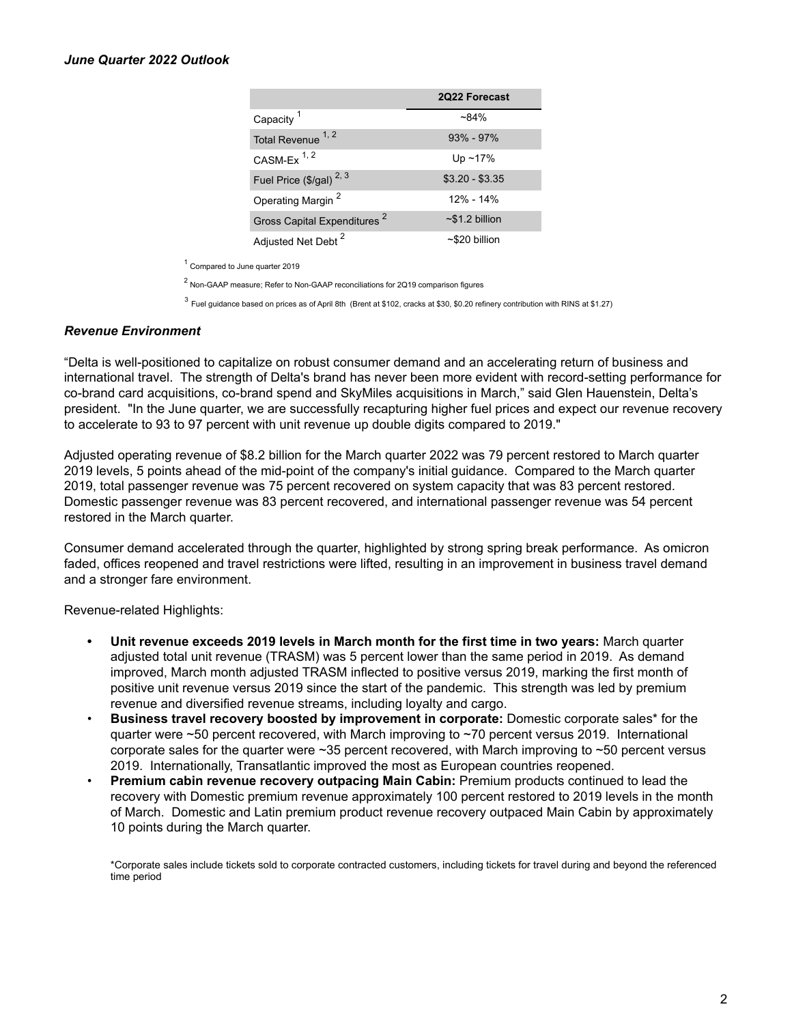### *June Quarter 2022 Outlook*

|                                         | 2Q22 Forecast   |
|-----------------------------------------|-----------------|
| Capacity <sup>1</sup>                   | $-84%$          |
| Total Revenue <sup>1, 2</sup>           | $93\% - 97\%$   |
| CASM-Ex $1, 2$                          | $Up - 17%$      |
| Fuel Price $(\frac{6}{9}$ al) $^{2, 3}$ | $$3.20 - $3.35$ |
| Operating Margin <sup>2</sup>           | $12\% - 14\%$   |
| Gross Capital Expenditures <sup>2</sup> | $~51.2$ billion |
| Adjusted Net Debt <sup>2</sup>          | $~520$ billion  |

1 Compared to June quarter 2019

 <sup>2</sup>  $2$  Non-GAAP measure; Refer to Non-GAAP reconciliations for 2Q19 comparison figures

 $^3$  Fuel guidance based on prices as of April 8th (Brent at \$102, cracks at \$30, \$0.20 refinery contribution with RINS at \$1.27)

### *Revenue Environment*

"Delta is well-positioned to capitalize on robust consumer demand and an accelerating return of business and international travel. The strength of Delta's brand has never been more evident with record-setting performance for co-brand card acquisitions, co-brand spend and SkyMiles acquisitions in March," said Glen Hauenstein, Delta's president. "In the June quarter, we are successfully recapturing higher fuel prices and expect our revenue recovery to accelerate to 93 to 97 percent with unit revenue up double digits compared to 2019."

Adjusted operating revenue of \$8.2 billion for the March quarter 2022 was 79 percent restored to March quarter 2019 levels, 5 points ahead of the mid-point of the company's initial guidance. Compared to the March quarter 2019, total passenger revenue was 75 percent recovered on system capacity that was 83 percent restored. Domestic passenger revenue was 83 percent recovered, and international passenger revenue was 54 percent restored in the March quarter.

Consumer demand accelerated through the quarter, highlighted by strong spring break performance. As omicron faded, offices reopened and travel restrictions were lifted, resulting in an improvement in business travel demand and a stronger fare environment.

Revenue-related Highlights:

- **• Unit revenue exceeds 2019 levels in March month for the first time in two years:** March quarter adjusted total unit revenue (TRASM) was 5 percent lower than the same period in 2019. As demand improved, March month adjusted TRASM inflected to positive versus 2019, marking the first month of positive unit revenue versus 2019 since the start of the pandemic. This strength was led by premium revenue and diversified revenue streams, including loyalty and cargo.
- **Business travel recovery boosted by improvement in corporate:** Domestic corporate sales\* for the quarter were ~50 percent recovered, with March improving to ~70 percent versus 2019. International corporate sales for the quarter were  $\sim$ 35 percent recovered, with March improving to  $\sim$ 50 percent versus 2019. Internationally, Transatlantic improved the most as European countries reopened.
- **Premium cabin revenue recovery outpacing Main Cabin:** Premium products continued to lead the recovery with Domestic premium revenue approximately 100 percent restored to 2019 levels in the month of March. Domestic and Latin premium product revenue recovery outpaced Main Cabin by approximately 10 points during the March quarter.

\*Corporate sales include tickets sold to corporate contracted customers, including tickets for travel during and beyond the referenced time period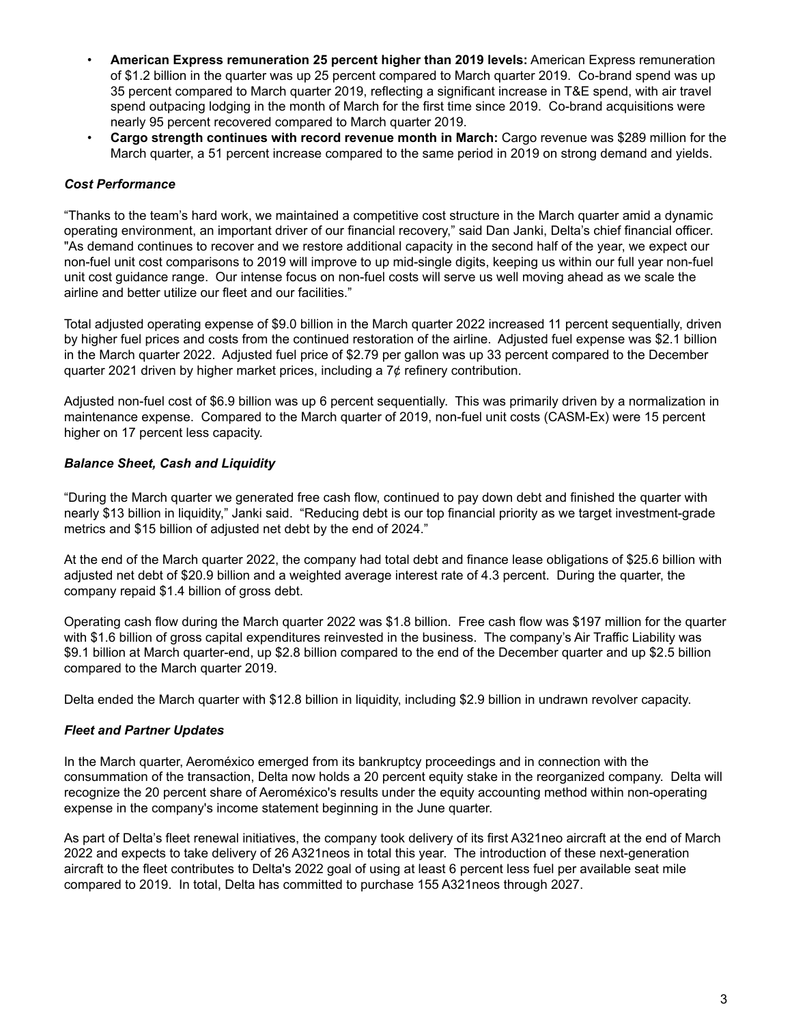- **American Express remuneration 25 percent higher than 2019 levels:** American Express remuneration of \$1.2 billion in the quarter was up 25 percent compared to March quarter 2019. Co-brand spend was up 35 percent compared to March quarter 2019, reflecting a significant increase in T&E spend, with air travel spend outpacing lodging in the month of March for the first time since 2019. Co-brand acquisitions were nearly 95 percent recovered compared to March quarter 2019.
- **Cargo strength continues with record revenue month in March:** Cargo revenue was \$289 million for the March quarter, a 51 percent increase compared to the same period in 2019 on strong demand and yields.

## *Cost Performance*

"Thanks to the team's hard work, we maintained a competitive cost structure in the March quarter amid a dynamic operating environment, an important driver of our financial recovery," said Dan Janki, Delta's chief financial officer. "As demand continues to recover and we restore additional capacity in the second half of the year, we expect our non-fuel unit cost comparisons to 2019 will improve to up mid-single digits, keeping us within our full year non-fuel unit cost guidance range. Our intense focus on non-fuel costs will serve us well moving ahead as we scale the airline and better utilize our fleet and our facilities."

Total adjusted operating expense of \$9.0 billion in the March quarter 2022 increased 11 percent sequentially, driven by higher fuel prices and costs from the continued restoration of the airline. Adjusted fuel expense was \$2.1 billion in the March quarter 2022. Adjusted fuel price of \$2.79 per gallon was up 33 percent compared to the December quarter 2021 driven by higher market prices, including a  $7¢$  refinery contribution.

Adjusted non-fuel cost of \$6.9 billion was up 6 percent sequentially. This was primarily driven by a normalization in maintenance expense. Compared to the March quarter of 2019, non-fuel unit costs (CASM-Ex) were 15 percent higher on 17 percent less capacity.

### *Balance Sheet, Cash and Liquidity*

"During the March quarter we generated free cash flow, continued to pay down debt and finished the quarter with nearly \$13 billion in liquidity," Janki said. "Reducing debt is our top financial priority as we target investment-grade metrics and \$15 billion of adjusted net debt by the end of 2024."

At the end of the March quarter 2022, the company had total debt and finance lease obligations of \$25.6 billion with adjusted net debt of \$20.9 billion and a weighted average interest rate of 4.3 percent. During the quarter, the company repaid \$1.4 billion of gross debt.

Operating cash flow during the March quarter 2022 was \$1.8 billion. Free cash flow was \$197 million for the quarter with \$1.6 billion of gross capital expenditures reinvested in the business. The company's Air Traffic Liability was \$9.1 billion at March quarter-end, up \$2.8 billion compared to the end of the December quarter and up \$2.5 billion compared to the March quarter 2019.

Delta ended the March quarter with \$12.8 billion in liquidity, including \$2.9 billion in undrawn revolver capacity.

### *Fleet and Partner Updates*

In the March quarter, Aeroméxico emerged from its bankruptcy proceedings and in connection with the consummation of the transaction, Delta now holds a 20 percent equity stake in the reorganized company. Delta will recognize the 20 percent share of Aeroméxico's results under the equity accounting method within non-operating expense in the company's income statement beginning in the June quarter.

As part of Delta's fleet renewal initiatives, the company took delivery of its first A321neo aircraft at the end of March 2022 and expects to take delivery of 26 A321neos in total this year. The introduction of these next-generation aircraft to the fleet contributes to Delta's 2022 goal of using at least 6 percent less fuel per available seat mile compared to 2019. In total, Delta has committed to purchase 155 A321neos through 2027.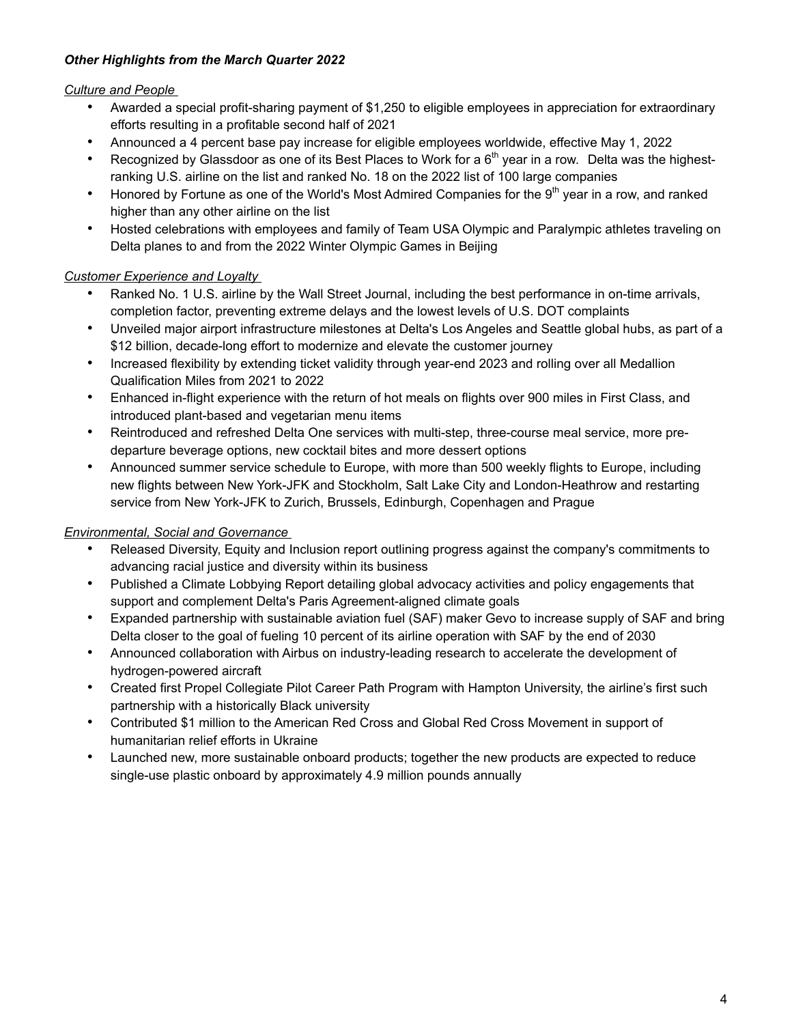## *Other Highlights from the March Quarter 2022*

## *Culture and People*

- Awarded a special profit-sharing payment of \$1,250 to eligible employees in appreciation for extraordinary efforts resulting in a profitable second half of 2021
- Announced a 4 percent base pay increase for eligible employees worldwide, effective May 1, 2022
- Recognized by Glassdoor as one of its Best Places to Work for a  $6<sup>th</sup>$  year in a row. Delta was the highestranking U.S. airline on the list and ranked No. 18 on the 2022 list of 100 large companies
- Honored by Fortune as one of the World's Most Admired Companies for the 9<sup>th</sup> year in a row, and ranked higher than any other airline on the list
- Hosted celebrations with employees and family of Team USA Olympic and Paralympic athletes traveling on Delta planes to and from the 2022 Winter Olympic Games in Beijing

## *Customer Experience and Loyalty*

- Ranked No. 1 U.S. airline by the Wall Street Journal, including the best performance in on-time arrivals, completion factor, preventing extreme delays and the lowest levels of U.S. DOT complaints
- Unveiled major airport infrastructure milestones at Delta's Los Angeles and Seattle global hubs, as part of a \$12 billion, decade-long effort to modernize and elevate the customer journey
- Increased flexibility by extending ticket validity through year-end 2023 and rolling over all Medallion Qualification Miles from 2021 to 2022
- Enhanced in-flight experience with the return of hot meals on flights over 900 miles in First Class, and introduced plant-based and vegetarian menu items
- Reintroduced and refreshed Delta One services with multi-step, three-course meal service, more predeparture beverage options, new cocktail bites and more dessert options
- Announced summer service schedule to Europe, with more than 500 weekly flights to Europe, including new flights between New York-JFK and Stockholm, Salt Lake City and London-Heathrow and restarting service from New York-JFK to Zurich, Brussels, Edinburgh, Copenhagen and Prague

## *Environmental, Social and Governance*

- Released Diversity, Equity and Inclusion report outlining progress against the company's commitments to advancing racial justice and diversity within its business
- Published a Climate Lobbying Report detailing global advocacy activities and policy engagements that support and complement Delta's Paris Agreement-aligned climate goals
- Expanded partnership with sustainable aviation fuel (SAF) maker Gevo to increase supply of SAF and bring Delta closer to the goal of fueling 10 percent of its airline operation with SAF by the end of 2030
- Announced collaboration with Airbus on industry-leading research to accelerate the development of hydrogen-powered aircraft
- Created first Propel Collegiate Pilot Career Path Program with Hampton University, the airline's first such partnership with a historically Black university
- Contributed \$1 million to the American Red Cross and Global Red Cross Movement in support of humanitarian relief efforts in Ukraine
- Launched new, more sustainable onboard products; together the new products are expected to reduce single-use plastic onboard by approximately 4.9 million pounds annually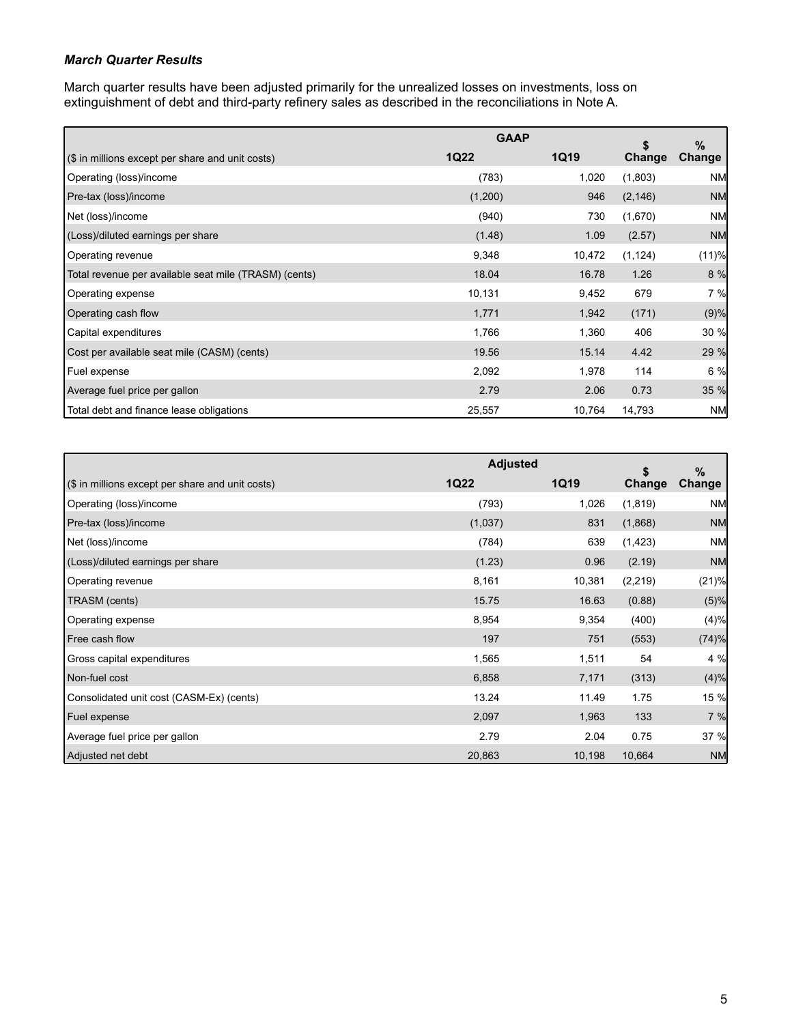## *March Quarter Results*

March quarter results have been adjusted primarily for the unrealized losses on investments, loss on extinguishment of debt and third-party refinery sales as described in the reconciliations in Note A.

|                                                       | <b>GAAP</b> | \$          | $\%$     |           |
|-------------------------------------------------------|-------------|-------------|----------|-----------|
| (\$ in millions except per share and unit costs)      | <b>1Q22</b> | <b>1Q19</b> | Change   | Change    |
| Operating (loss)/income                               | (783)       | 1,020       | (1,803)  | <b>NM</b> |
| Pre-tax (loss)/income                                 | (1,200)     | 946         | (2, 146) | <b>NM</b> |
| Net (loss)/income                                     | (940)       | 730         | (1,670)  | <b>NM</b> |
| (Loss)/diluted earnings per share                     | (1.48)      | 1.09        | (2.57)   | <b>NM</b> |
| Operating revenue                                     | 9,348       | 10,472      | (1, 124) | $(11)\%$  |
| Total revenue per available seat mile (TRASM) (cents) | 18.04       | 16.78       | 1.26     | 8 %       |
| Operating expense                                     | 10,131      | 9,452       | 679      | 7%        |
| Operating cash flow                                   | 1,771       | 1,942       | (171)    | (9)%      |
| Capital expenditures                                  | 1,766       | 1,360       | 406      | 30 %      |
| Cost per available seat mile (CASM) (cents)           | 19.56       | 15.14       | 4.42     | 29 %      |
| Fuel expense                                          | 2,092       | 1,978       | 114      | 6%        |
| Average fuel price per gallon                         | 2.79        | 2.06        | 0.73     | 35 %      |
| Total debt and finance lease obligations              | 25,557      | 10,764      | 14,793   | <b>NM</b> |

|                                                  | <b>Adjusted</b> |        | $\%$     |               |
|--------------------------------------------------|-----------------|--------|----------|---------------|
| (\$ in millions except per share and unit costs) | <b>1Q22</b>     | 1Q19   | Change   | <b>Change</b> |
| Operating (loss)/income                          | (793)           | 1,026  | (1, 819) | <b>NM</b>     |
| Pre-tax (loss)/income                            | (1,037)         | 831    | (1,868)  | <b>NM</b>     |
| Net (loss)/income                                | (784)           | 639    | (1, 423) | <b>NM</b>     |
| (Loss)/diluted earnings per share                | (1.23)          | 0.96   | (2.19)   | <b>NM</b>     |
| Operating revenue                                | 8,161           | 10,381 | (2, 219) | (21)%         |
| TRASM (cents)                                    | 15.75           | 16.63  | (0.88)   | (5)%          |
| Operating expense                                | 8,954           | 9,354  | (400)    | (4)%          |
| Free cash flow                                   | 197             | 751    | (553)    | (74)%         |
| Gross capital expenditures                       | 1,565           | 1,511  | 54       | 4 %           |
| Non-fuel cost                                    | 6,858           | 7,171  | (313)    | (4)%          |
| Consolidated unit cost (CASM-Ex) (cents)         | 13.24           | 11.49  | 1.75     | 15 %          |
| Fuel expense                                     | 2,097           | 1,963  | 133      | 7%            |
| Average fuel price per gallon                    | 2.79            | 2.04   | 0.75     | 37 %          |
| Adjusted net debt                                | 20,863          | 10,198 | 10,664   | <b>NM</b>     |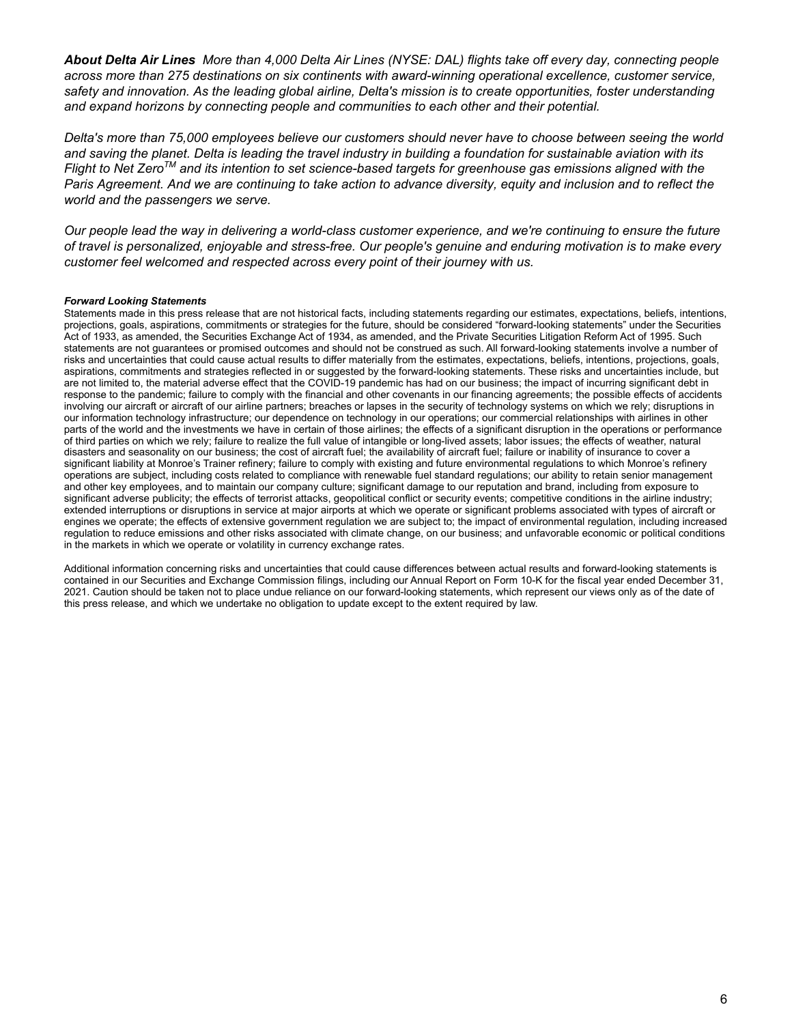*About Delta Air Lines More than 4,000 Delta Air Lines (NYSE: DAL) flights take off every day, connecting people across more than 275 destinations on six continents with award-winning operational excellence, customer service, safety and innovation. As the leading global airline, Delta's mission is to create opportunities, foster understanding and expand horizons by connecting people and communities to each other and their potential.*

*Delta's more than 75,000 employees believe our customers should never have to choose between seeing the world and saving the planet. Delta is leading the travel industry in building a foundation for sustainable aviation with its Flight to Net ZeroTM and its intention to set science-based targets for greenhouse gas emissions aligned with the Paris Agreement. And we are continuing to take action to advance diversity, equity and inclusion and to reflect the world and the passengers we serve.* 

*Our people lead the way in delivering a world-class customer experience, and we're continuing to ensure the future of travel is personalized, enjoyable and stress-free. Our people's genuine and enduring motivation is to make every customer feel welcomed and respected across every point of their journey with us.*

#### *Forward Looking Statements*

Statements made in this press release that are not historical facts, including statements regarding our estimates, expectations, beliefs, intentions, projections, goals, aspirations, commitments or strategies for the future, should be considered "forward-looking statements" under the Securities Act of 1933, as amended, the Securities Exchange Act of 1934, as amended, and the Private Securities Litigation Reform Act of 1995. Such statements are not guarantees or promised outcomes and should not be construed as such. All forward-looking statements involve a number of risks and uncertainties that could cause actual results to differ materially from the estimates, expectations, beliefs, intentions, projections, goals, aspirations, commitments and strategies reflected in or suggested by the forward-looking statements. These risks and uncertainties include, but are not limited to, the material adverse effect that the COVID-19 pandemic has had on our business; the impact of incurring significant debt in response to the pandemic; failure to comply with the financial and other covenants in our financing agreements; the possible effects of accidents involving our aircraft or aircraft of our airline partners; breaches or lapses in the security of technology systems on which we rely; disruptions in our information technology infrastructure; our dependence on technology in our operations; our commercial relationships with airlines in other parts of the world and the investments we have in certain of those airlines; the effects of a significant disruption in the operations or performance of third parties on which we rely; failure to realize the full value of intangible or long-lived assets; labor issues; the effects of weather, natural disasters and seasonality on our business; the cost of aircraft fuel; the availability of aircraft fuel; failure or inability of insurance to cover a significant liability at Monroe's Trainer refinery; failure to comply with existing and future environmental regulations to which Monroe's refinery operations are subject, including costs related to compliance with renewable fuel standard regulations; our ability to retain senior management and other key employees, and to maintain our company culture; significant damage to our reputation and brand, including from exposure to significant adverse publicity; the effects of terrorist attacks, geopolitical conflict or security events; competitive conditions in the airline industry; extended interruptions or disruptions in service at major airports at which we operate or significant problems associated with types of aircraft or engines we operate; the effects of extensive government regulation we are subject to; the impact of environmental regulation, including increased regulation to reduce emissions and other risks associated with climate change, on our business; and unfavorable economic or political conditions in the markets in which we operate or volatility in currency exchange rates.

Additional information concerning risks and uncertainties that could cause differences between actual results and forward-looking statements is contained in our Securities and Exchange Commission filings, including our Annual Report on Form 10-K for the fiscal year ended December 31, 2021. Caution should be taken not to place undue reliance on our forward-looking statements, which represent our views only as of the date of this press release, and which we undertake no obligation to update except to the extent required by law.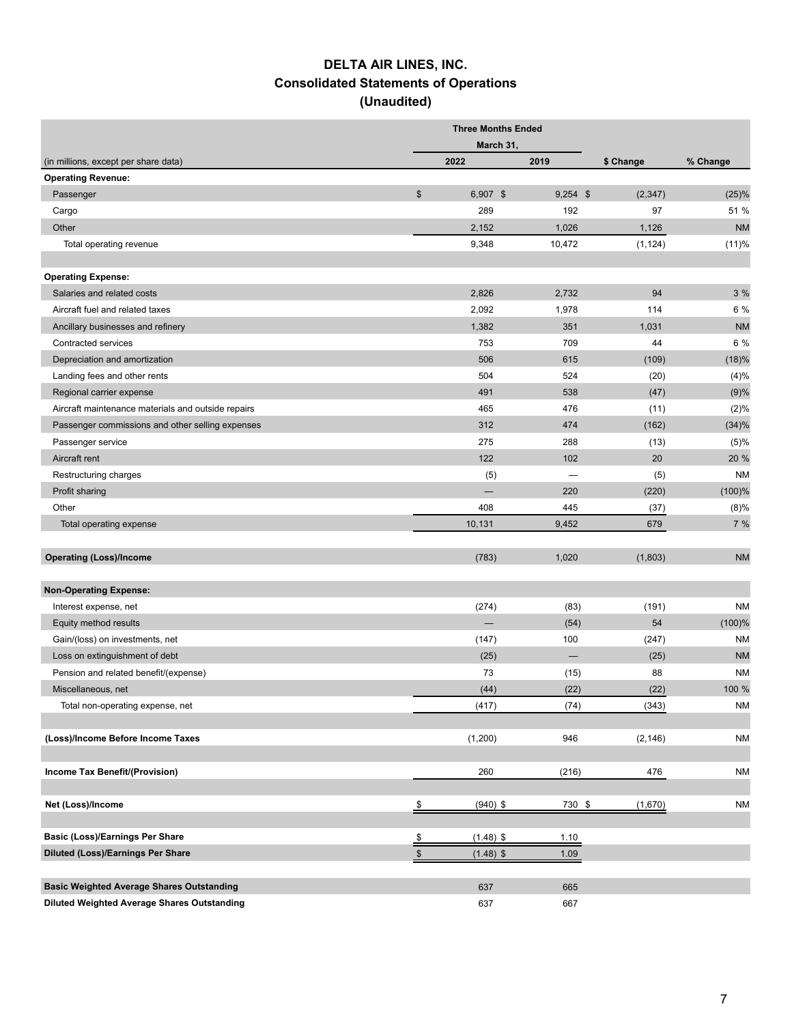## **DELTA AIR LINES, INC. Consolidated Statements of Operations (Unaudited)**

|                                                    |               | <b>Three Months Ended</b> |            |           |           |
|----------------------------------------------------|---------------|---------------------------|------------|-----------|-----------|
|                                                    |               | March 31,                 |            |           |           |
| (in millions, except per share data)               |               | 2022                      | 2019       | \$ Change | % Change  |
| <b>Operating Revenue:</b>                          |               |                           |            |           |           |
| Passenger                                          | \$            | 6,907 \$                  | $9,254$ \$ | (2, 347)  | (25)%     |
| Cargo                                              |               | 289                       | 192        | 97        | 51 %      |
| Other                                              |               | 2,152                     | 1,026      | 1,126     | <b>NM</b> |
| Total operating revenue                            |               | 9,348                     | 10,472     | (1, 124)  | (11)%     |
|                                                    |               |                           |            |           |           |
| <b>Operating Expense:</b>                          |               |                           |            |           |           |
| Salaries and related costs                         |               | 2,826                     | 2,732      | 94        | 3 %       |
| Aircraft fuel and related taxes                    |               | 2,092                     | 1,978      | 114       | 6 %       |
| Ancillary businesses and refinery                  |               | 1,382                     | 351        | 1,031     | <b>NM</b> |
| Contracted services                                |               | 753                       | 709        | 44        | 6 %       |
| Depreciation and amortization                      |               | 506                       | 615        | (109)     | (18)%     |
| Landing fees and other rents                       |               | 504                       | 524        | (20)      | (4)%      |
| Regional carrier expense                           |               | 491                       | 538        | (47)      | (9)%      |
| Aircraft maintenance materials and outside repairs |               | 465                       | 476        | (11)      | (2)%      |
| Passenger commissions and other selling expenses   |               | 312                       | 474        | (162)     | (34)%     |
| Passenger service                                  |               | 275                       | 288        | (13)      | (5)%      |
| Aircraft rent                                      |               | 122                       | 102        | 20        | 20 %      |
| Restructuring charges                              |               | (5)                       |            | (5)       | <b>NM</b> |
| Profit sharing                                     |               |                           | 220        | (220)     | (100)%    |
| Other                                              |               | 408                       | 445        | (37)      | (8)%      |
| Total operating expense                            |               | 10,131                    | 9,452      | 679       | 7 %       |
|                                                    |               |                           |            |           |           |
| <b>Operating (Loss)/Income</b>                     |               | (783)                     | 1,020      | (1,803)   | <b>NM</b> |
|                                                    |               |                           |            |           |           |
| <b>Non-Operating Expense:</b>                      |               |                           |            |           |           |
| Interest expense, net                              |               | (274)                     | (83)       | (191)     | <b>NM</b> |
| Equity method results                              |               |                           | (54)       | 54        | (100)%    |
| Gain/(loss) on investments, net                    |               | (147)                     | 100        | (247)     | <b>NM</b> |
| Loss on extinguishment of debt                     |               | (25)                      |            | (25)      | <b>NM</b> |
| Pension and related benefit/(expense)              |               | 73                        | (15)       | 88        | <b>NM</b> |
| Miscellaneous, net                                 |               | (44)                      | (22)       | (22)      | 100 %     |
| Total non-operating expense, net                   |               | (417)                     | (74)       | (343)     | <b>NM</b> |
|                                                    |               |                           |            |           |           |
| (Loss)/Income Before Income Taxes                  |               | (1,200)                   | 946        | (2, 146)  | <b>NM</b> |
|                                                    |               |                           |            |           |           |
| Income Tax Benefit/(Provision)                     |               | 260                       | (216)      | 476       | <b>NM</b> |
|                                                    |               |                           |            |           |           |
| Net (Loss)/Income                                  | $\sqrt[6]{3}$ | $(940)$ \$                | 730 \$     | (1,670)   | <b>NM</b> |
|                                                    |               |                           |            |           |           |
| <b>Basic (Loss)/Earnings Per Share</b>             | \$            | $(1.48)$ \$               | 1.10       |           |           |
| <b>Diluted (Loss)/Earnings Per Share</b>           | \$            | $(1.48)$ \$               | 1.09       |           |           |
|                                                    |               |                           |            |           |           |
| <b>Basic Weighted Average Shares Outstanding</b>   |               | 637                       | 665        |           |           |
| <b>Diluted Weighted Average Shares Outstanding</b> |               | 637                       | 667        |           |           |
|                                                    |               |                           |            |           |           |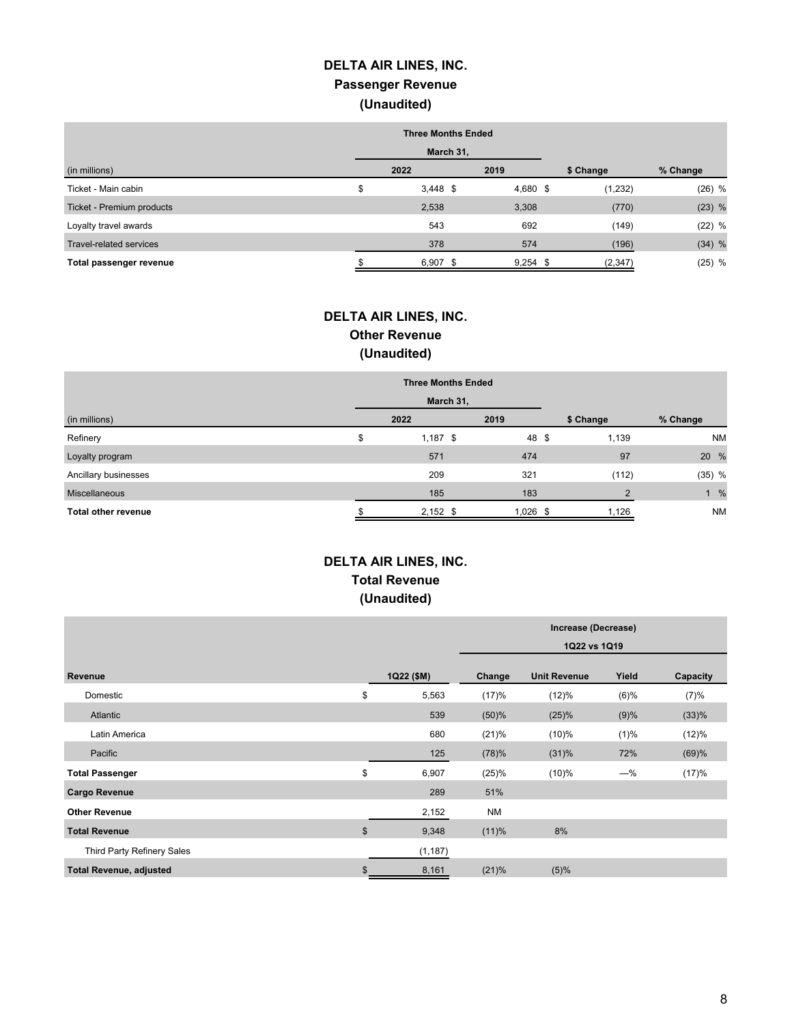# **DELTA AIR LINES, INC. Passenger Revenue (Unaudited)**

|                           | <b>Three Months Ended</b> |            |           |          |
|---------------------------|---------------------------|------------|-----------|----------|
|                           | March 31,                 |            |           |          |
| (in millions)             | 2022                      | 2019       | \$ Change | % Change |
| Ticket - Main cabin       | \$<br>$3,448$ \$          | 4,680 \$   | (1,232)   | $(26)$ % |
| Ticket - Premium products | 2,538                     | 3,308      | (770)     | (23) %   |
| Loyalty travel awards     | 543                       | 692        | (149)     | (22) %   |
| Travel-related services   | 378                       | 574        | (196)     | (34) %   |
| Total passenger revenue   | $6,907$ \$                | $9,254$ \$ | (2, 347)  | (25) %   |

## **DELTA AIR LINES, INC. Other Revenue (Unaudited)**

|                            |    | March 31,  |            |           |           |
|----------------------------|----|------------|------------|-----------|-----------|
| (in millions)              |    | 2022       | 2019       | \$ Change | % Change  |
| Refinery                   | \$ | $1,187$ \$ | 48 \$      | 1,139     | <b>NM</b> |
| Loyalty program            |    | 571        | 474        | 97        | 20 %      |
| Ancillary businesses       |    | 209        | 321        | (112)     | (35) %    |
| <b>Miscellaneous</b>       |    | 185        | 183        | C         | $1\%$     |
| <b>Total other revenue</b> |    | $2,152$ \$ | $1,026$ \$ | 1,126     | <b>NM</b> |

## **DELTA AIR LINES, INC. Total Revenue (Unaudited)**

|                                |             | Increase (Decrease) |                     |         |          |
|--------------------------------|-------------|---------------------|---------------------|---------|----------|
|                                |             | 1Q22 vs 1Q19        |                     |         |          |
| Revenue                        | 1Q22 (\$M)  | Change              | <b>Unit Revenue</b> | Yield   | Capacity |
| Domestic                       | \$<br>5,563 | (17)%               | (12)%               | $(6)\%$ | (7)%     |
| Atlantic                       | 539         | (50)%               | (25)%               | (9)%    | (33)%    |
| Latin America                  | 680         | (21)%               | (10)%               | $(1)\%$ | (12)%    |
| Pacific                        | 125         | (78)%               | (31)%               | 72%     | (69)%    |
| <b>Total Passenger</b>         | \$<br>6,907 | (25)%               | (10)%               | $-\%$   | (17)%    |
| <b>Cargo Revenue</b>           | 289         | 51%                 |                     |         |          |
| <b>Other Revenue</b>           | 2,152       | <b>NM</b>           |                     |         |          |
| <b>Total Revenue</b>           | \$<br>9,348 | (11)%               | 8%                  |         |          |
| Third Party Refinery Sales     | (1, 187)    |                     |                     |         |          |
| <b>Total Revenue, adjusted</b> | \$<br>8,161 | (21)%               | $(5)\%$             |         |          |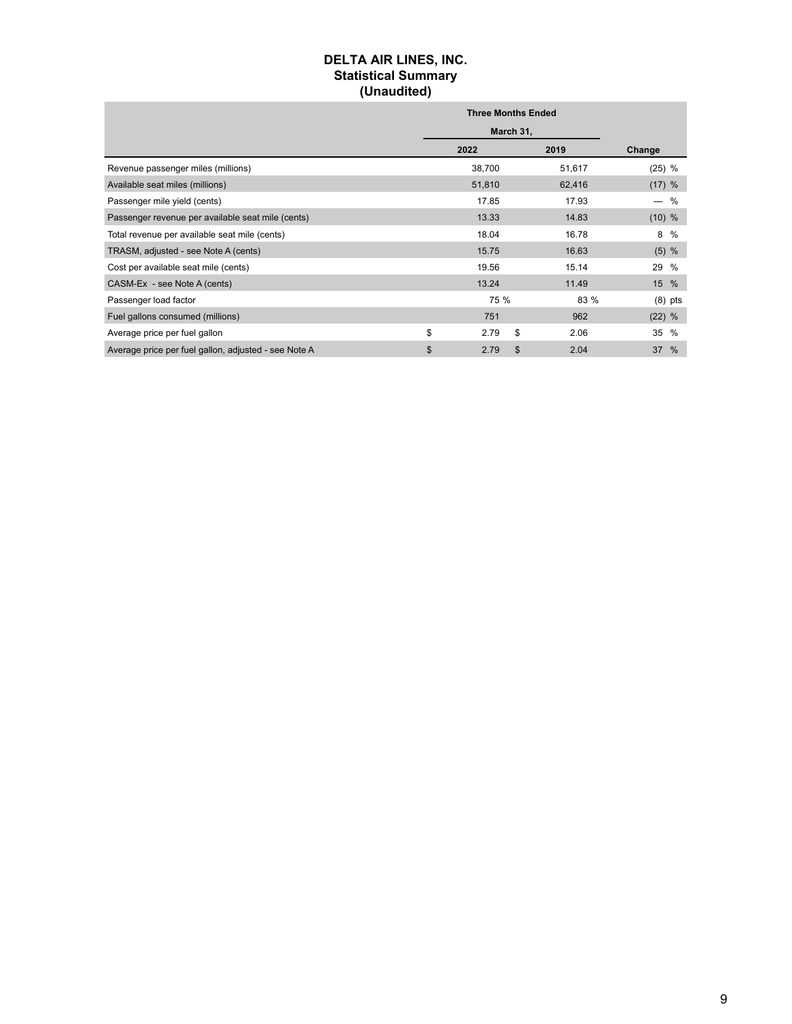### **DELTA AIR LINES, INC. Statistical Summary (Unaudited)**

|                                                      |    | March 31, |    |        |           |
|------------------------------------------------------|----|-----------|----|--------|-----------|
|                                                      |    | 2022      |    | 2019   | Change    |
| Revenue passenger miles (millions)                   |    | 38,700    |    | 51,617 | (25) %    |
| Available seat miles (millions)                      |    | 51,810    |    | 62,416 | (17) %    |
| Passenger mile yield (cents)                         |    | 17.85     |    | 17.93  | %         |
| Passenger revenue per available seat mile (cents)    |    | 13.33     |    | 14.83  | (10) %    |
| Total revenue per available seat mile (cents)        |    | 18.04     |    | 16.78  | $8\%$     |
| TRASM, adjusted - see Note A (cents)                 |    | 15.75     |    | 16.63  | (5) %     |
| Cost per available seat mile (cents)                 |    | 19.56     |    | 15.14  | 29 %      |
| CASM-Ex - see Note A (cents)                         |    | 13.24     |    | 11.49  | 15 %      |
| Passenger load factor                                |    | 75 %      |    | 83 %   | $(8)$ pts |
| Fuel gallons consumed (millions)                     |    | 751       |    | 962    | $(22)$ %  |
| Average price per fuel gallon                        | \$ | 2.79      | \$ | 2.06   | 35 %      |
| Average price per fuel gallon, adjusted - see Note A | \$ | 2.79      | \$ | 2.04   | 37%       |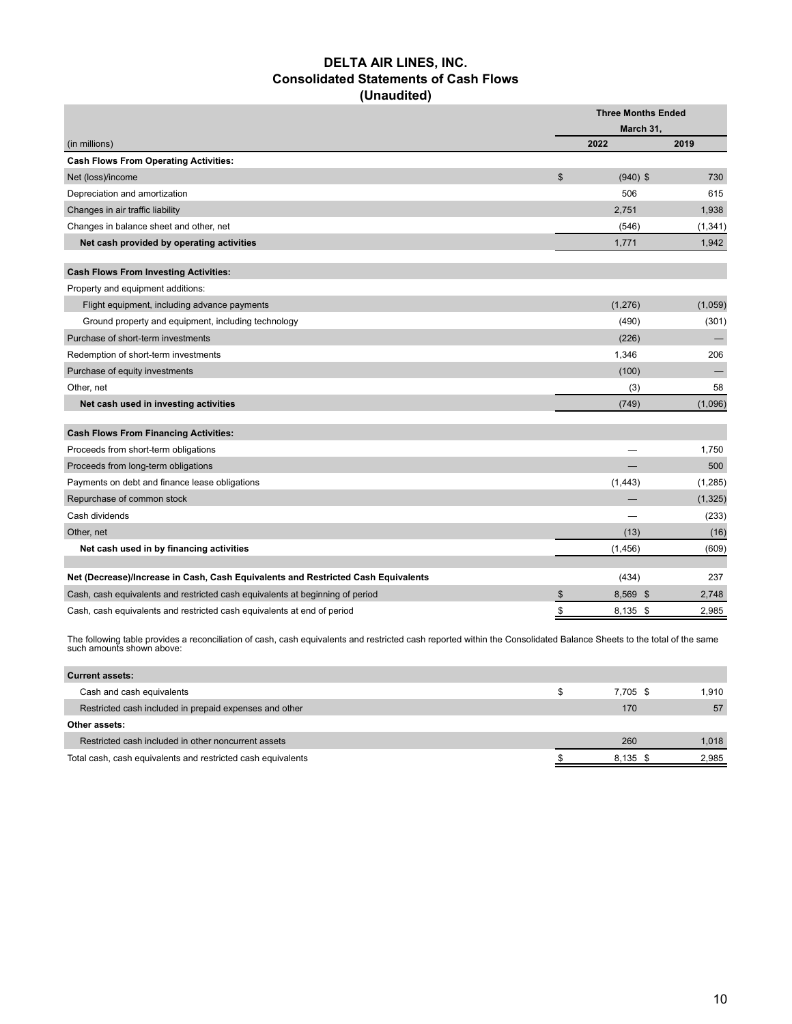## **DELTA AIR LINES, INC. Consolidated Statements of Cash Flows (Unaudited)**

|                                                                                   | <b>Three Months Ended</b> |            |          |
|-----------------------------------------------------------------------------------|---------------------------|------------|----------|
|                                                                                   |                           | March 31,  |          |
| (in millions)                                                                     |                           | 2022       | 2019     |
| <b>Cash Flows From Operating Activities:</b>                                      |                           |            |          |
| Net (loss)/income                                                                 | \$                        | $(940)$ \$ | 730      |
| Depreciation and amortization                                                     |                           | 506        | 615      |
| Changes in air traffic liability                                                  |                           | 2,751      | 1,938    |
| Changes in balance sheet and other, net                                           |                           | (546)      | (1, 341) |
| Net cash provided by operating activities                                         |                           | 1,771      | 1,942    |
| <b>Cash Flows From Investing Activities:</b>                                      |                           |            |          |
| Property and equipment additions:                                                 |                           |            |          |
| Flight equipment, including advance payments                                      |                           | (1, 276)   | (1,059)  |
| Ground property and equipment, including technology                               |                           | (490)      | (301)    |
| Purchase of short-term investments                                                |                           | (226)      |          |
| Redemption of short-term investments                                              |                           | 1,346      | 206      |
| Purchase of equity investments                                                    |                           | (100)      |          |
| Other, net                                                                        |                           | (3)        | 58       |
| Net cash used in investing activities                                             |                           | (749)      | (1,096)  |
| <b>Cash Flows From Financing Activities:</b>                                      |                           |            |          |
| Proceeds from short-term obligations                                              |                           |            | 1,750    |
| Proceeds from long-term obligations                                               |                           |            | 500      |
| Payments on debt and finance lease obligations                                    |                           | (1, 443)   | (1,285)  |
| Repurchase of common stock                                                        |                           |            | (1, 325) |
| Cash dividends                                                                    |                           |            | (233)    |
| Other, net                                                                        |                           | (13)       | (16)     |
| Net cash used in by financing activities                                          |                           | (1, 456)   | (609)    |
| Net (Decrease)/Increase in Cash, Cash Equivalents and Restricted Cash Equivalents |                           | (434)      | 237      |
| Cash, cash equivalents and restricted cash equivalents at beginning of period     | \$                        | 8,569 \$   | 2,748    |
| Cash, cash equivalents and restricted cash equivalents at end of period           | $\stackrel{\$}{=}$        | 8,135 \$   | 2,985    |

The following table provides a reconciliation of cash, cash equivalents and restricted cash reported within the Consolidated Balance Sheets to the total of the same such amounts shown above:

| <b>Current assets:</b>                                       |            |       |
|--------------------------------------------------------------|------------|-------|
| Cash and cash equivalents                                    | 7.705 \$   | 1.910 |
| Restricted cash included in prepaid expenses and other       | 170        | 57    |
| Other assets:                                                |            |       |
| Restricted cash included in other noncurrent assets          | 260        | 1.018 |
| Total cash, cash equivalents and restricted cash equivalents | $8.135$ \$ | 2,985 |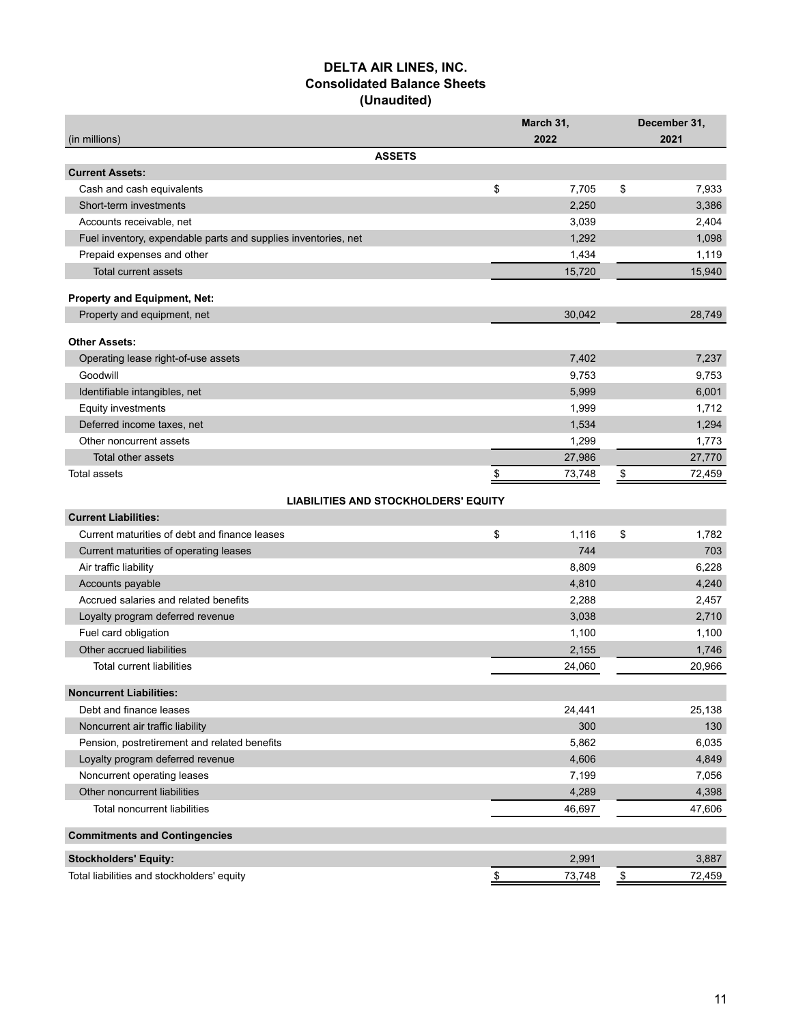## **DELTA AIR LINES, INC. Consolidated Balance Sheets (Unaudited)**

|                                                                            |               | March 31, | December 31,  |        |
|----------------------------------------------------------------------------|---------------|-----------|---------------|--------|
| (in millions)                                                              |               | 2022      |               | 2021   |
| <b>ASSETS</b>                                                              |               |           |               |        |
| <b>Current Assets:</b>                                                     |               |           |               |        |
| Cash and cash equivalents                                                  | \$            | 7,705     | \$            | 7,933  |
| Short-term investments                                                     |               | 2,250     |               | 3,386  |
| Accounts receivable, net                                                   |               | 3,039     |               | 2,404  |
| Fuel inventory, expendable parts and supplies inventories, net             |               | 1,292     |               | 1,098  |
| Prepaid expenses and other                                                 |               | 1,434     |               | 1,119  |
| <b>Total current assets</b>                                                |               | 15,720    |               | 15,940 |
| Property and Equipment, Net:                                               |               |           |               |        |
| Property and equipment, net                                                |               | 30,042    |               | 28,749 |
| <b>Other Assets:</b>                                                       |               |           |               |        |
| Operating lease right-of-use assets                                        |               | 7,402     |               | 7,237  |
| Goodwill                                                                   |               | 9,753     |               | 9,753  |
| Identifiable intangibles, net                                              |               | 5,999     |               | 6,001  |
| Equity investments                                                         |               | 1,999     |               | 1,712  |
| Deferred income taxes, net                                                 |               | 1,534     |               | 1,294  |
| Other noncurrent assets                                                    |               | 1,299     |               | 1,773  |
| Total other assets                                                         |               | 27,986    |               | 27,770 |
| Total assets                                                               | $\frac{1}{2}$ | 73,748    | $\frac{1}{2}$ | 72,459 |
|                                                                            |               |           |               |        |
| <b>LIABILITIES AND STOCKHOLDERS' EQUITY</b><br><b>Current Liabilities:</b> |               |           |               |        |
| Current maturities of debt and finance leases                              | \$            | 1,116     | \$            | 1,782  |
|                                                                            |               | 744       |               | 703    |
| Current maturities of operating leases<br>Air traffic liability            |               | 8,809     |               | 6,228  |
| Accounts payable                                                           |               | 4,810     |               | 4,240  |
| Accrued salaries and related benefits                                      |               | 2,288     |               | 2,457  |
| Loyalty program deferred revenue                                           |               | 3,038     |               | 2,710  |
| Fuel card obligation                                                       |               | 1,100     |               | 1,100  |
| Other accrued liabilities                                                  |               | 2,155     |               | 1,746  |
| <b>Total current liabilities</b>                                           |               | 24,060    |               | 20,966 |
|                                                                            |               |           |               |        |
| <b>Noncurrent Liabilities:</b>                                             |               |           |               |        |
| Debt and finance leases                                                    |               | 24,441    |               | 25,138 |
| Noncurrent air traffic liability                                           |               | 300       |               | 130    |
| Pension, postretirement and related benefits                               |               | 5,862     |               | 6,035  |
| Loyalty program deferred revenue                                           |               | 4,606     |               | 4,849  |
| Noncurrent operating leases                                                |               | 7,199     |               | 7,056  |
| Other noncurrent liabilities                                               |               | 4,289     |               | 4,398  |
| Total noncurrent liabilities                                               |               | 46,697    |               | 47,606 |
| <b>Commitments and Contingencies</b>                                       |               |           |               |        |
| <b>Stockholders' Equity:</b>                                               |               | 2,991     |               | 3,887  |
| Total liabilities and stockholders' equity                                 | \$            | 73,748    | \$            | 72,459 |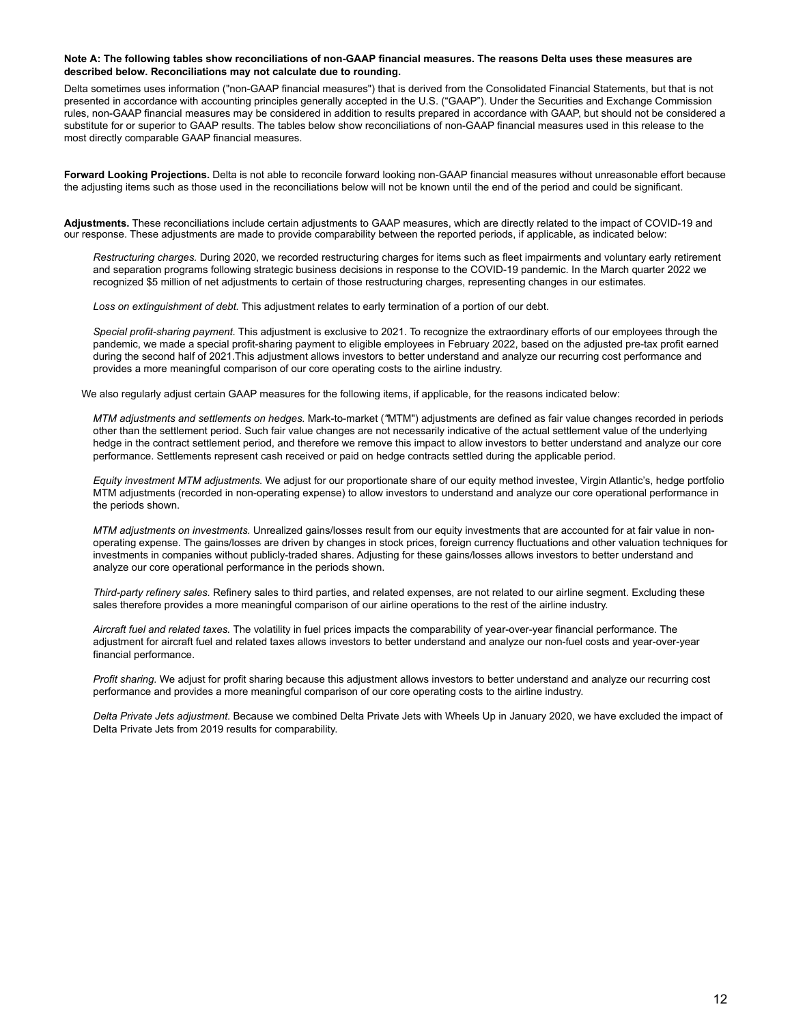#### **Note A: The following tables show reconciliations of non-GAAP financial measures. The reasons Delta uses these measures are described below. Reconciliations may not calculate due to rounding.**

Delta sometimes uses information ("non-GAAP financial measures") that is derived from the Consolidated Financial Statements, but that is not presented in accordance with accounting principles generally accepted in the U.S. ("GAAP"). Under the Securities and Exchange Commission rules, non-GAAP financial measures may be considered in addition to results prepared in accordance with GAAP, but should not be considered a substitute for or superior to GAAP results. The tables below show reconciliations of non-GAAP financial measures used in this release to the most directly comparable GAAP financial measures.

**Forward Looking Projections.** Delta is not able to reconcile forward looking non-GAAP financial measures without unreasonable effort because the adjusting items such as those used in the reconciliations below will not be known until the end of the period and could be significant.

**Adjustments.** These reconciliations include certain adjustments to GAAP measures, which are directly related to the impact of COVID-19 and our response. These adjustments are made to provide comparability between the reported periods, if applicable, as indicated below:

*Restructuring charges.* During 2020, we recorded restructuring charges for items such as fleet impairments and voluntary early retirement and separation programs following strategic business decisions in response to the COVID-19 pandemic. In the March quarter 2022 we recognized \$5 million of net adjustments to certain of those restructuring charges, representing changes in our estimates.

*Loss on extinguishment of debt.* This adjustment relates to early termination of a portion of our debt.

*Special profit-sharing payment.* This adjustment is exclusive to 2021. To recognize the extraordinary efforts of our employees through the pandemic, we made a special profit-sharing payment to eligible employees in February 2022, based on the adjusted pre-tax profit earned during the second half of 2021.This adjustment allows investors to better understand and analyze our recurring cost performance and provides a more meaningful comparison of our core operating costs to the airline industry.

We also regularly adjust certain GAAP measures for the following items, if applicable, for the reasons indicated below:

*MTM adjustments and settlements on hedges.* Mark-to-market (*"*MTM") adjustments are defined as fair value changes recorded in periods other than the settlement period. Such fair value changes are not necessarily indicative of the actual settlement value of the underlying hedge in the contract settlement period, and therefore we remove this impact to allow investors to better understand and analyze our core performance. Settlements represent cash received or paid on hedge contracts settled during the applicable period.

*Equity investment MTM adjustments.* We adjust for our proportionate share of our equity method investee, Virgin Atlantic's, hedge portfolio MTM adjustments (recorded in non-operating expense) to allow investors to understand and analyze our core operational performance in the periods shown.

*MTM adjustments on investments.* Unrealized gains/losses result from our equity investments that are accounted for at fair value in nonoperating expense. The gains/losses are driven by changes in stock prices, foreign currency fluctuations and other valuation techniques for investments in companies without publicly-traded shares. Adjusting for these gains/losses allows investors to better understand and analyze our core operational performance in the periods shown.

*Third-party refinery sales.* Refinery sales to third parties, and related expenses, are not related to our airline segment. Excluding these sales therefore provides a more meaningful comparison of our airline operations to the rest of the airline industry.

*Aircraft fuel and related taxes.* The volatility in fuel prices impacts the comparability of year-over-year financial performance. The adjustment for aircraft fuel and related taxes allows investors to better understand and analyze our non-fuel costs and year-over-year financial performance.

*Profit sharing.* We adjust for profit sharing because this adjustment allows investors to better understand and analyze our recurring cost performance and provides a more meaningful comparison of our core operating costs to the airline industry.

*Delta Private Jets adjustment*. Because we combined Delta Private Jets with Wheels Up in January 2020, we have excluded the impact of Delta Private Jets from 2019 results for comparability.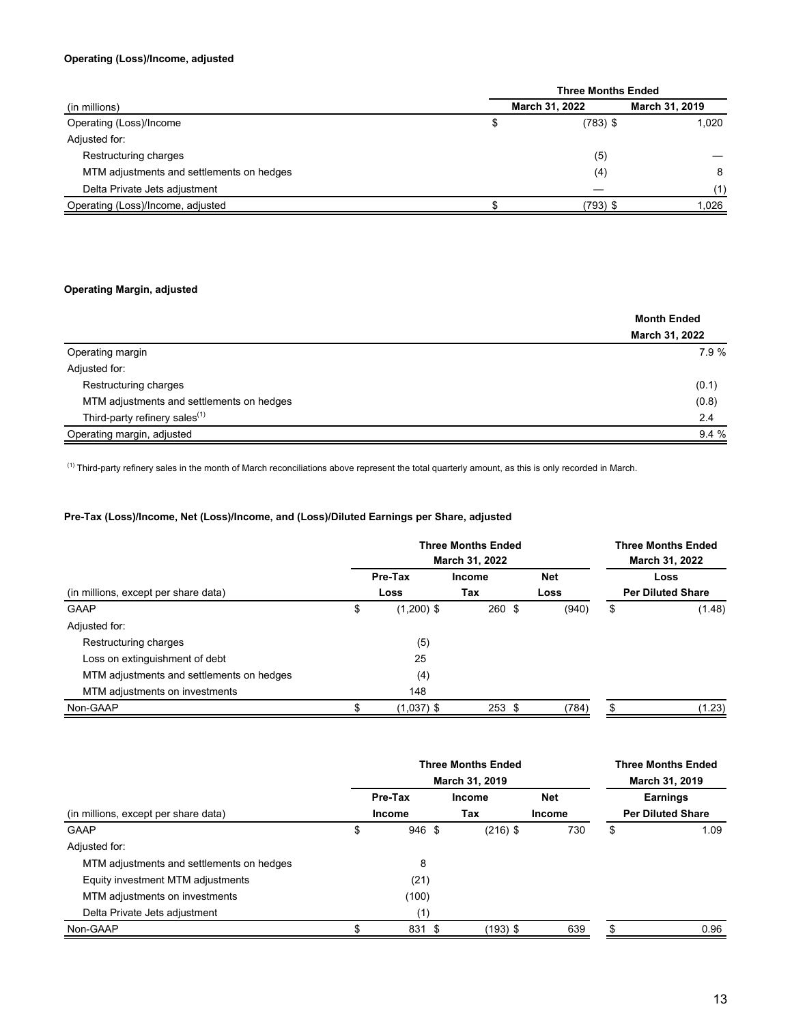### **Operating (Loss)/Income, adjusted**

|                                           | <b>Three Months Ended</b> |                |                |  |  |  |
|-------------------------------------------|---------------------------|----------------|----------------|--|--|--|
| (in millions)                             |                           | March 31, 2022 | March 31, 2019 |  |  |  |
| Operating (Loss)/Income                   |                           | $(783)$ \$     | 1,020          |  |  |  |
| Adjusted for:                             |                           |                |                |  |  |  |
| Restructuring charges                     |                           | (5)            |                |  |  |  |
| MTM adjustments and settlements on hedges |                           | (4)            | 8              |  |  |  |
| Delta Private Jets adjustment             |                           |                | (1)            |  |  |  |
| Operating (Loss)/Income, adjusted         |                           | (793) \$       | 1.026          |  |  |  |

### **Operating Margin, adjusted**

|                                           | <b>Month Ended</b> |
|-------------------------------------------|--------------------|
|                                           | March 31, 2022     |
| Operating margin                          | 7.9 %              |
| Adjusted for:                             |                    |
| Restructuring charges                     | (0.1)              |
| MTM adjustments and settlements on hedges | (0.8)              |
| Third-party refinery sales <sup>(1)</sup> | 2.4                |
| Operating margin, adjusted                | 9.4%               |

<sup>(1)</sup> Third-party refinery sales in the month of March reconciliations above represent the total quarterly amount, as this is only recorded in March.

### **Pre-Tax (Loss)/Income, Net (Loss)/Income, and (Loss)/Diluted Earnings per Share, adjusted**

|                                           | <b>Three Months Ended</b><br>March 31, 2022 | <b>Three Months Ended</b><br>March 31, 2022 |            |    |                          |
|-------------------------------------------|---------------------------------------------|---------------------------------------------|------------|----|--------------------------|
|                                           | Pre-Tax                                     | Income                                      | <b>Net</b> |    | Loss                     |
| (in millions, except per share data)      | <b>Loss</b>                                 | Tax                                         | Loss       |    | <b>Per Diluted Share</b> |
| <b>GAAP</b>                               | \$<br>$(1,200)$ \$                          | 260 \$                                      | (940)      | \$ | (1.48)                   |
| Adjusted for:                             |                                             |                                             |            |    |                          |
| Restructuring charges                     | (5)                                         |                                             |            |    |                          |
| Loss on extinguishment of debt            | 25                                          |                                             |            |    |                          |
| MTM adjustments and settlements on hedges | (4)                                         |                                             |            |    |                          |
| MTM adjustments on investments            | 148                                         |                                             |            |    |                          |
| Non-GAAP                                  | (1,037) \$                                  | $253$ \$                                    | (784)      | \$ | (1.23)                   |

|                                           | <b>Three Months Ended</b><br>March 31, 2019 | <b>Three Months Ended</b><br>March 31, 2019 |               |    |                          |
|-------------------------------------------|---------------------------------------------|---------------------------------------------|---------------|----|--------------------------|
|                                           | Pre-Tax                                     | Income                                      | <b>Net</b>    |    | <b>Earnings</b>          |
| (in millions, except per share data)      | <b>Income</b>                               | Tax                                         | <b>Income</b> |    | <b>Per Diluted Share</b> |
| GAAP                                      | \$<br>946 \$                                | $(216)$ \$                                  | 730           | \$ | 1.09                     |
| Adjusted for:                             |                                             |                                             |               |    |                          |
| MTM adjustments and settlements on hedges | 8                                           |                                             |               |    |                          |
| Equity investment MTM adjustments         | (21)                                        |                                             |               |    |                          |
| MTM adjustments on investments            | (100)                                       |                                             |               |    |                          |
| Delta Private Jets adjustment             | (1)                                         |                                             |               |    |                          |
| Non-GAAP                                  | 831 \$                                      | (193) \$                                    | 639           | \$ | 0.96                     |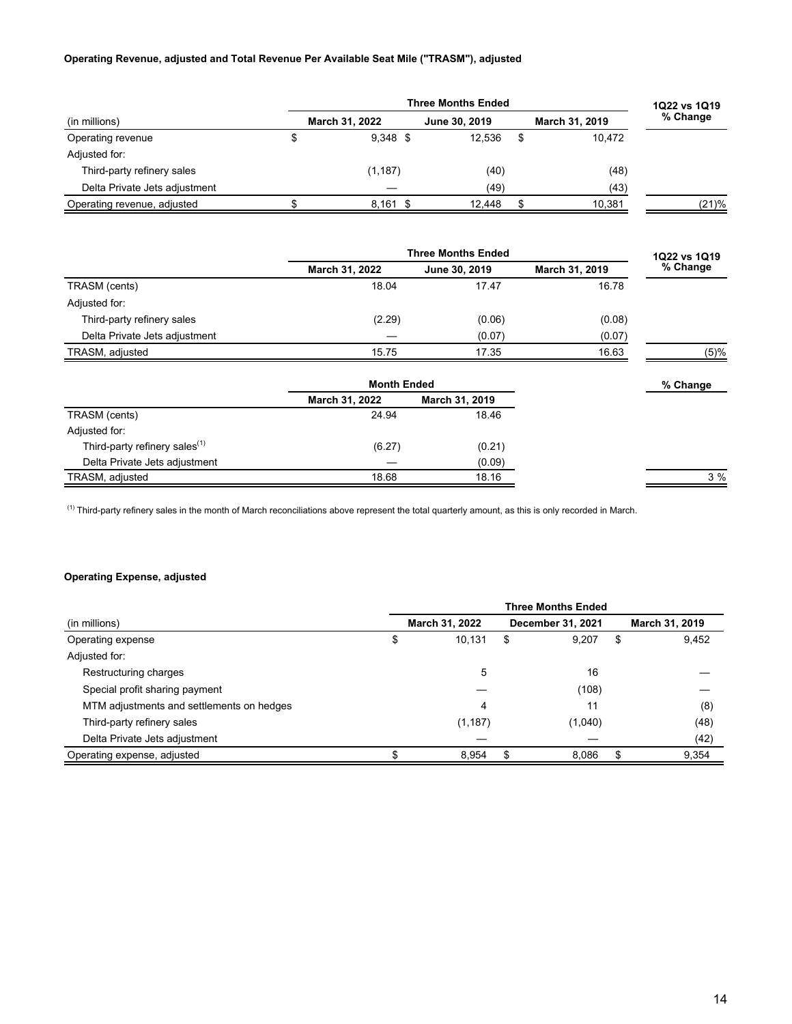### **Operating Revenue, adjusted and Total Revenue Per Available Seat Mile ("TRASM"), adjusted**

|                               | <b>Three Months Ended</b>                         | 1Q22 vs 1Q19 |        |   |        |       |  |
|-------------------------------|---------------------------------------------------|--------------|--------|---|--------|-------|--|
| (in millions)                 | March 31, 2019<br>March 31, 2022<br>June 30, 2019 |              |        |   |        |       |  |
| Operating revenue             | $9,348$ \$                                        |              | 12.536 | S | 10,472 |       |  |
| Adjusted for:                 |                                                   |              |        |   |        |       |  |
| Third-party refinery sales    | (1, 187)                                          |              | (40)   |   | (48)   |       |  |
| Delta Private Jets adjustment |                                                   |              | (49)   |   | (43)   |       |  |
| Operating revenue, adjusted   | $8,161$ \$                                        |              | 12.448 |   | 10,381 | (21)% |  |

|                                           | <b>Three Months Ended</b> | 1Q22 vs 1Q19   |                |          |
|-------------------------------------------|---------------------------|----------------|----------------|----------|
|                                           | March 31, 2022            | June 30, 2019  | March 31, 2019 | % Change |
| TRASM (cents)                             | 18.04                     | 17.47          | 16.78          |          |
| Adjusted for:                             |                           |                |                |          |
| Third-party refinery sales                | (2.29)                    | (0.06)         | (0.08)         |          |
| Delta Private Jets adjustment             |                           | (0.07)         | (0.07)         |          |
| TRASM, adjusted                           | 15.75                     | 17.35          | 16.63          | (5)%     |
|                                           | <b>Month Ended</b>        |                |                | % Change |
|                                           | March 31, 2022            | March 31, 2019 |                |          |
| TRASM (cents)                             | 24.94                     | 18.46          |                |          |
| Adjusted for:                             |                           |                |                |          |
| Third-party refinery sales <sup>(1)</sup> | (6.27)                    | (0.21)         |                |          |
| Delta Private Jets adjustment             |                           | (0.09)         |                |          |
| TRASM, adjusted                           | 18.68                     | 18.16          |                | 3%       |

 $^{(1)}$  Third-party refinery sales in the month of March reconciliations above represent the total quarterly amount, as this is only recorded in March.

### **Operating Expense, adjusted**

|                                           | <b>Three Months Ended</b> |                |    |                   |                |       |  |  |  |  |  |
|-------------------------------------------|---------------------------|----------------|----|-------------------|----------------|-------|--|--|--|--|--|
| (in millions)                             |                           | March 31, 2022 |    | December 31, 2021 | March 31, 2019 |       |  |  |  |  |  |
| Operating expense                         | Φ                         | 10,131         | \$ | 9,207             | \$             | 9,452 |  |  |  |  |  |
| Adjusted for:                             |                           |                |    |                   |                |       |  |  |  |  |  |
| Restructuring charges                     |                           | 5              |    | 16                |                |       |  |  |  |  |  |
| Special profit sharing payment            |                           |                |    | (108)             |                |       |  |  |  |  |  |
| MTM adjustments and settlements on hedges |                           | 4              |    | 11                |                | (8)   |  |  |  |  |  |
| Third-party refinery sales                |                           | (1, 187)       |    | (1,040)           |                | (48)  |  |  |  |  |  |
| Delta Private Jets adjustment             |                           |                |    |                   |                | (42)  |  |  |  |  |  |
| Operating expense, adjusted               |                           | 8.954          | \$ | 8.086             |                | 9,354 |  |  |  |  |  |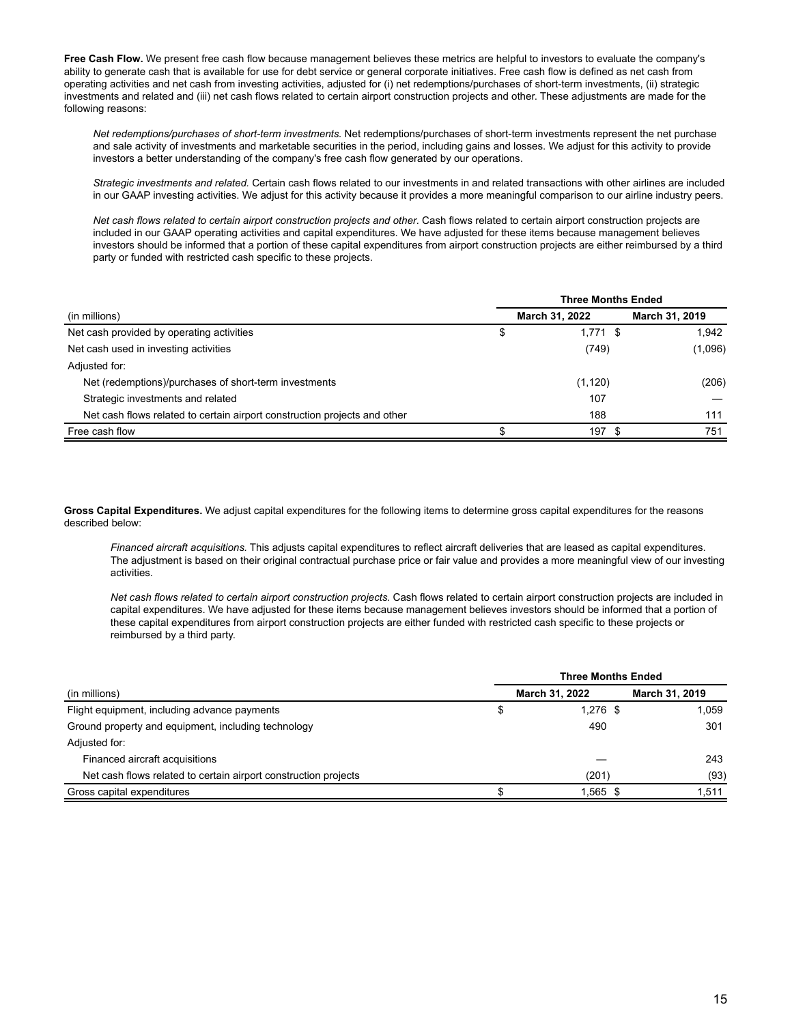**Free Cash Flow.** We present free cash flow because management believes these metrics are helpful to investors to evaluate the company's ability to generate cash that is available for use for debt service or general corporate initiatives. Free cash flow is defined as net cash from operating activities and net cash from investing activities, adjusted for (i) net redemptions/purchases of short-term investments, (ii) strategic investments and related and (iii) net cash flows related to certain airport construction projects and other. These adjustments are made for the following reasons:

*Net redemptions/purchases of short-term investments.* Net redemptions/purchases of short-term investments represent the net purchase and sale activity of investments and marketable securities in the period, including gains and losses. We adjust for this activity to provide investors a better understanding of the company's free cash flow generated by our operations.

*Strategic investments and related.* Certain cash flows related to our investments in and related transactions with other airlines are included in our GAAP investing activities. We adjust for this activity because it provides a more meaningful comparison to our airline industry peers.

*Net cash flows related to certain airport construction projects and other.* Cash flows related to certain airport construction projects are included in our GAAP operating activities and capital expenditures. We have adjusted for these items because management believes investors should be informed that a portion of these capital expenditures from airport construction projects are either reimbursed by a third party or funded with restricted cash specific to these projects.

|                                                                           | <b>Three Months Ended</b> |                |                |  |  |  |
|---------------------------------------------------------------------------|---------------------------|----------------|----------------|--|--|--|
| (in millions)                                                             |                           | March 31, 2022 | March 31, 2019 |  |  |  |
| Net cash provided by operating activities                                 |                           | $1,771$ \$     | 1,942          |  |  |  |
| Net cash used in investing activities                                     |                           | (749)          | (1,096)        |  |  |  |
| Adjusted for:                                                             |                           |                |                |  |  |  |
| Net (redemptions)/purchases of short-term investments                     |                           | (1, 120)       | (206)          |  |  |  |
| Strategic investments and related                                         |                           | 107            |                |  |  |  |
| Net cash flows related to certain airport construction projects and other |                           | 188            | 111            |  |  |  |
| Free cash flow                                                            |                           | 197            | 751            |  |  |  |

**Gross Capital Expenditures.** We adjust capital expenditures for the following items to determine gross capital expenditures for the reasons described below:

*Financed aircraft acquisitions.* This adjusts capital expenditures to reflect aircraft deliveries that are leased as capital expenditures. The adjustment is based on their original contractual purchase price or fair value and provides a more meaningful view of our investing activities.

*Net cash flows related to certain airport construction projects.* Cash flows related to certain airport construction projects are included in capital expenditures. We have adjusted for these items because management believes investors should be informed that a portion of these capital expenditures from airport construction projects are either funded with restricted cash specific to these projects or reimbursed by a third party.

|                                                                 | <b>Three Months Ended</b> |                |                |  |  |  |  |
|-----------------------------------------------------------------|---------------------------|----------------|----------------|--|--|--|--|
| (in millions)                                                   |                           | March 31, 2022 | March 31, 2019 |  |  |  |  |
| Flight equipment, including advance payments                    |                           | $1,276$ \$     | 1,059          |  |  |  |  |
| Ground property and equipment, including technology             |                           | 490            | 301            |  |  |  |  |
| Adjusted for:                                                   |                           |                |                |  |  |  |  |
| Financed aircraft acquisitions                                  |                           |                | 243            |  |  |  |  |
| Net cash flows related to certain airport construction projects |                           | (201)          | (93)           |  |  |  |  |
| Gross capital expenditures                                      |                           | 565\$          | 511,           |  |  |  |  |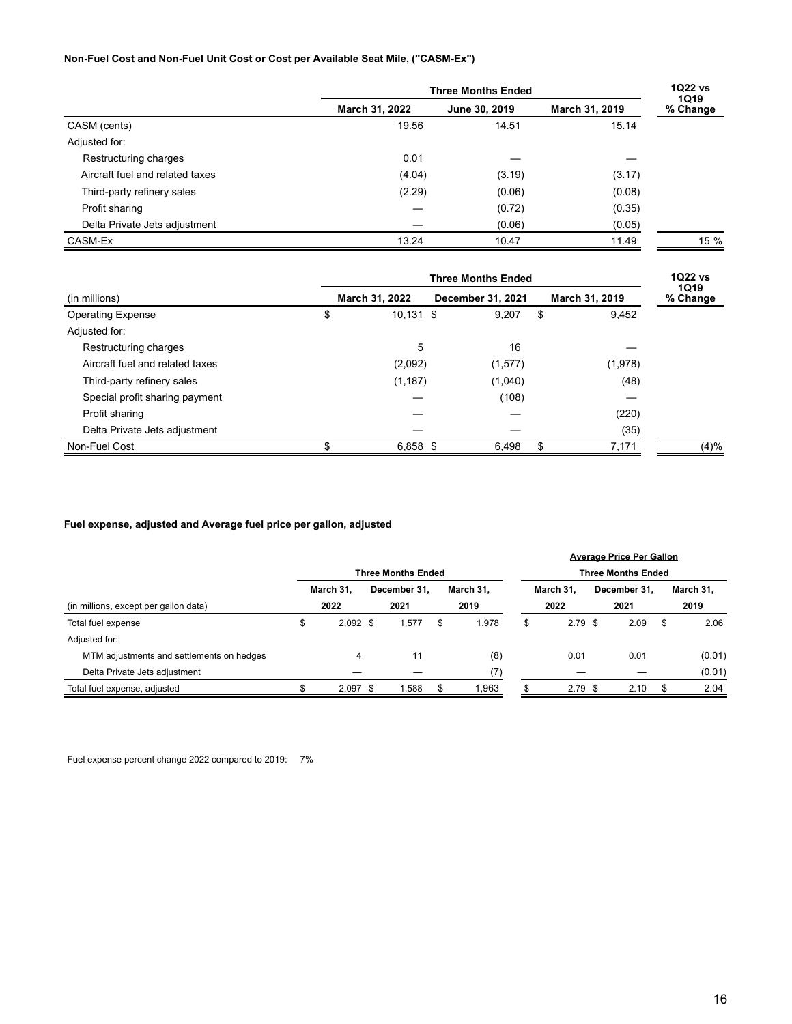### **Non-Fuel Cost and Non-Fuel Unit Cost or Cost per Available Seat Mile, ("CASM-Ex")**

|                                 | <b>Three Months Ended</b> |               |                |                         |  |  |  |
|---------------------------------|---------------------------|---------------|----------------|-------------------------|--|--|--|
|                                 | March 31, 2022            | June 30, 2019 | March 31, 2019 | <b>1Q19</b><br>% Change |  |  |  |
| CASM (cents)                    | 19.56                     | 14.51         | 15.14          |                         |  |  |  |
| Adjusted for:                   |                           |               |                |                         |  |  |  |
| Restructuring charges           | 0.01                      |               |                |                         |  |  |  |
| Aircraft fuel and related taxes | (4.04)                    | (3.19)        | (3.17)         |                         |  |  |  |
| Third-party refinery sales      | (2.29)                    | (0.06)        | (0.08)         |                         |  |  |  |
| Profit sharing                  |                           | (0.72)        | (0.35)         |                         |  |  |  |
| Delta Private Jets adjustment   |                           | (0.06)        | (0.05)         |                         |  |  |  |
| CASM-Ex                         | 13.24                     | 10.47         | 11.49          | 15 %                    |  |  |  |

| <b>Three Months Ended</b> |   |                |                                                  |                   |                         |      |  |  |  |  |
|---------------------------|---|----------------|--------------------------------------------------|-------------------|-------------------------|------|--|--|--|--|
|                           |   |                |                                                  | March 31, 2019    | <b>1Q19</b><br>% Change |      |  |  |  |  |
| \$                        |   |                | 9,207                                            | \$                | 9,452                   |      |  |  |  |  |
|                           |   |                |                                                  |                   |                         |      |  |  |  |  |
|                           | 5 |                | 16                                               |                   |                         |      |  |  |  |  |
|                           |   |                | (1,577)                                          |                   | (1,978)                 |      |  |  |  |  |
|                           |   |                | (1,040)                                          |                   | (48)                    |      |  |  |  |  |
|                           |   |                | (108)                                            |                   |                         |      |  |  |  |  |
|                           |   |                |                                                  |                   | (220)                   |      |  |  |  |  |
|                           |   |                |                                                  |                   | (35)                    |      |  |  |  |  |
|                           |   |                | 6,498                                            | £.                | 7.171                   | (4)% |  |  |  |  |
|                           |   | March 31, 2022 | $10,131$ \$<br>(2,092)<br>(1, 187)<br>$6,858$ \$ | December 31, 2021 |                         |      |  |  |  |  |

### **Fuel expense, adjusted and Average fuel price per gallon, adjusted**

|                                           |    |            |                           |              |                           |           |    |           |  | <b>Average Price Per Gallon</b> |    |           |
|-------------------------------------------|----|------------|---------------------------|--------------|---------------------------|-----------|----|-----------|--|---------------------------------|----|-----------|
|                                           |    |            | <b>Three Months Ended</b> |              | <b>Three Months Ended</b> |           |    |           |  |                                 |    |           |
|                                           |    | March 31.  |                           | December 31. |                           | March 31. |    | March 31. |  | December 31.                    |    | March 31, |
| (in millions, except per gallon data)     |    | 2022       |                           | 2021         |                           | 2019      |    | 2022      |  | 2021                            |    | 2019      |
| Total fuel expense                        | \$ | $2.092$ \$ |                           | 1,577        | \$                        | 1,978     | \$ | $2.79$ \$ |  | 2.09                            | \$ | 2.06      |
| Adjusted for:                             |    |            |                           |              |                           |           |    |           |  |                                 |    |           |
| MTM adjustments and settlements on hedges |    | 4          |                           | 11           |                           | (8)       |    | 0.01      |  | 0.01                            |    | (0.01)    |
| Delta Private Jets adjustment             |    |            |                           |              |                           | (7)       |    |           |  |                                 |    | (0.01)    |
| Total fuel expense, adjusted              |    | 2.097      | - \$                      | 1,588        | \$.                       | .963      |    | $2.79$ \$ |  | 2.10                            |    | 2.04      |

Fuel expense percent change 2022 compared to 2019: 7%